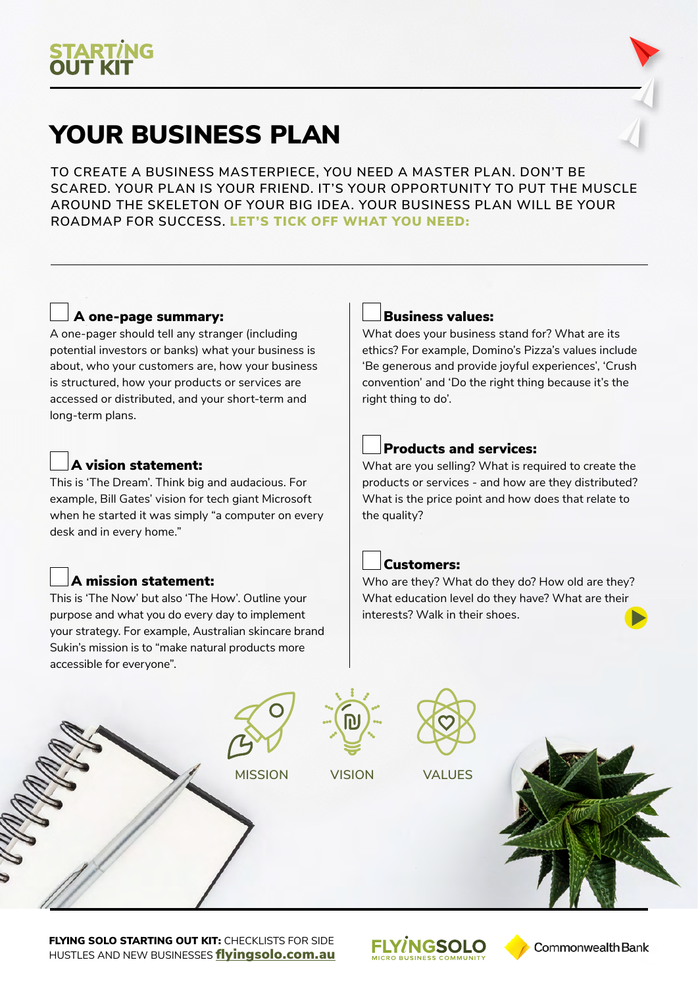## YOUR BUSINESS PLAN

**TO CREATE A BUSINESS MASTERPIECE, YOU NEED A MASTER PLAN. DON'T BE SCARED. YOUR PLAN IS YOUR FRIEND. IT'S YOUR OPPORTUNITY TO PUT THE MUSCLE AROUND THE SKELETON OF YOUR BIG IDEA. YOUR BUSINESS PLAN WILL BE YOUR ROADMAP FOR SUCCESS.** LET'S TICK OFF WHAT YOU NEED:

### A one-page summary:

A one-pager should tell any stranger (including potential investors or banks) what your business is about, who your customers are, how your business is structured, how your products or services are accessed or distributed, and your short-term and long-term plans.

#### A vision statement:

This is 'The Dream'. Think big and audacious. For example, Bill Gates' vision for tech giant Microsoft when he started it was simply "a computer on every desk and in every home."

### A mission statement:

This is 'The Now' but also 'The How'. Outline your purpose and what you do every day to implement your strategy. For example, Australian skincare brand Sukin's mission is to "make natural products more accessible for everyone".

#### Business values:

What does your business stand for? What are its ethics? For example, Domino's Pizza's values include 'Be generous and provide joyful experiences', 'Crush convention' and 'Do the right thing because it's the right thing to do'.

#### Products and services:

What are you selling? What is required to create the products or services - and how are they distributed? What is the price point and how does that relate to the quality?

#### Customers:

Who are they? What do they do? How old are they? What education level do they have? What are their interests? Walk in their shoes.



**FLYING SOLO STARTING OUT KIT: CHECKLISTS FOR SIDE** HUSTLES AND NEW BUSINESSES fl[yingsolo.com.au](http://flyingsolo.com.au)